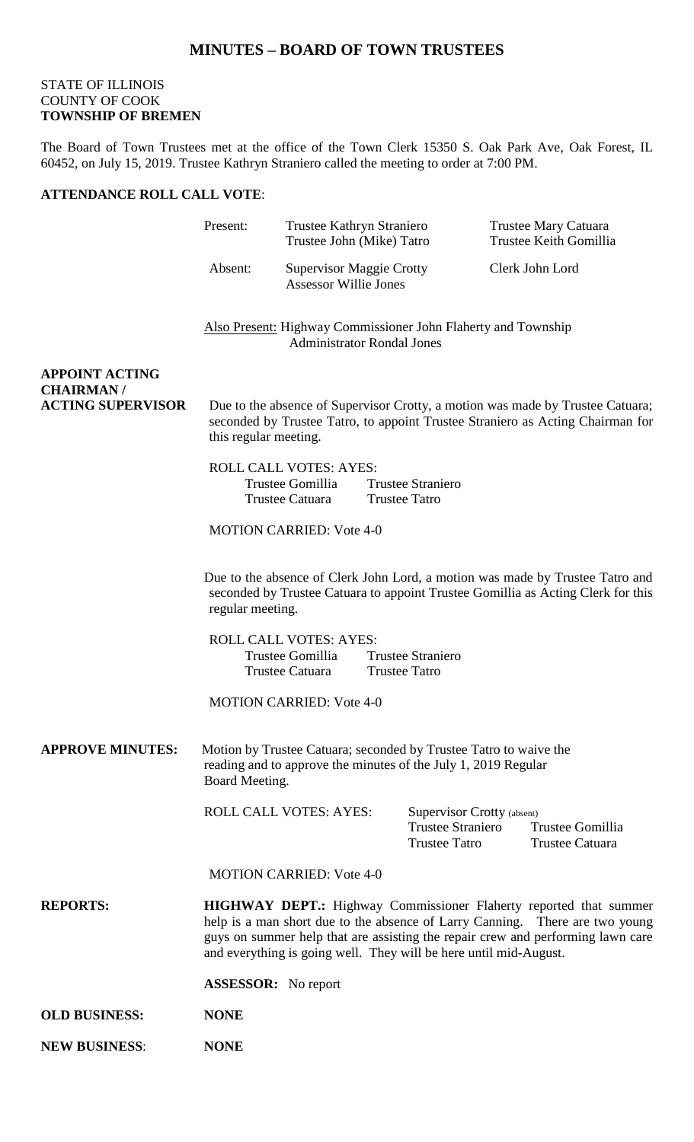## STATE OF ILLINOIS COUNTY OF COOK **TOWNSHIP OF BREMEN**

The Board of Town Trustees met at the office of the Town Clerk 15350 S. Oak Park Ave, Oak Forest, IL 60452, on July 15, 2019. Trustee Kathryn Straniero called the meeting to order at 7:00 PM.

## **ATTENDANCE ROLL CALL VOTE**:

|                                              | Present:                                                                                                                                                                                                                                                                                                         | Trustee Kathryn Straniero<br>Trustee John (Mike) Tatro               |  | Trustee Mary Catuara<br>Trustee Keith Gomillia                                 |  |                                     |  |
|----------------------------------------------|------------------------------------------------------------------------------------------------------------------------------------------------------------------------------------------------------------------------------------------------------------------------------------------------------------------|----------------------------------------------------------------------|--|--------------------------------------------------------------------------------|--|-------------------------------------|--|
|                                              | Absent:                                                                                                                                                                                                                                                                                                          | <b>Supervisor Maggie Crotty</b><br><b>Assessor Willie Jones</b>      |  | Clerk John Lord                                                                |  |                                     |  |
|                                              | <b>Also Present:</b> Highway Commissioner John Flaherty and Township<br><b>Administrator Rondal Jones</b>                                                                                                                                                                                                        |                                                                      |  |                                                                                |  |                                     |  |
| <b>APPOINT ACTING</b>                        |                                                                                                                                                                                                                                                                                                                  |                                                                      |  |                                                                                |  |                                     |  |
| <b>CHAIRMAN/</b><br><b>ACTING SUPERVISOR</b> | Due to the absence of Supervisor Crotty, a motion was made by Trustee Catuara;<br>seconded by Trustee Tatro, to appoint Trustee Straniero as Acting Chairman for<br>this regular meeting.                                                                                                                        |                                                                      |  |                                                                                |  |                                     |  |
|                                              |                                                                                                                                                                                                                                                                                                                  | <b>ROLL CALL VOTES: AYES:</b><br>Trustee Gomillia<br>Trustee Catuara |  | <b>Trustee Straniero</b><br><b>Trustee Tatro</b>                               |  |                                     |  |
|                                              |                                                                                                                                                                                                                                                                                                                  | <b>MOTION CARRIED: Vote 4-0</b>                                      |  |                                                                                |  |                                     |  |
|                                              | Due to the absence of Clerk John Lord, a motion was made by Trustee Tatro and<br>seconded by Trustee Catuara to appoint Trustee Gomillia as Acting Clerk for this<br>regular meeting.                                                                                                                            |                                                                      |  |                                                                                |  |                                     |  |
|                                              |                                                                                                                                                                                                                                                                                                                  | ROLL CALL VOTES: AYES:<br>Trustee Gomillia<br>Trustee Catuara        |  | <b>Trustee Straniero</b><br><b>Trustee Tatro</b>                               |  |                                     |  |
|                                              |                                                                                                                                                                                                                                                                                                                  | <b>MOTION CARRIED: Vote 4-0</b>                                      |  |                                                                                |  |                                     |  |
| <b>APPROVE MINUTES:</b>                      | Motion by Trustee Catuara; seconded by Trustee Tatro to waive the<br>reading and to approve the minutes of the July 1, 2019 Regular<br>Board Meeting.                                                                                                                                                            |                                                                      |  |                                                                                |  |                                     |  |
|                                              |                                                                                                                                                                                                                                                                                                                  | ROLL CALL VOTES: AYES:                                               |  | Supervisor Crotty (absent)<br><b>Trustee Straniero</b><br><b>Trustee Tatro</b> |  | Trustee Gomillia<br>Trustee Catuara |  |
|                                              |                                                                                                                                                                                                                                                                                                                  | <b>MOTION CARRIED: Vote 4-0</b>                                      |  |                                                                                |  |                                     |  |
| <b>REPORTS:</b>                              | <b>HIGHWAY DEPT.:</b> Highway Commissioner Flaherty reported that summer<br>help is a man short due to the absence of Larry Canning. There are two young<br>guys on summer help that are assisting the repair crew and performing lawn care<br>and everything is going well. They will be here until mid-August. |                                                                      |  |                                                                                |  |                                     |  |
|                                              | <b>ASSESSOR:</b> No report                                                                                                                                                                                                                                                                                       |                                                                      |  |                                                                                |  |                                     |  |
| <b>OLD BUSINESS:</b>                         | <b>NONE</b>                                                                                                                                                                                                                                                                                                      |                                                                      |  |                                                                                |  |                                     |  |
| <b>NEW BUSINESS:</b>                         | <b>NONE</b>                                                                                                                                                                                                                                                                                                      |                                                                      |  |                                                                                |  |                                     |  |